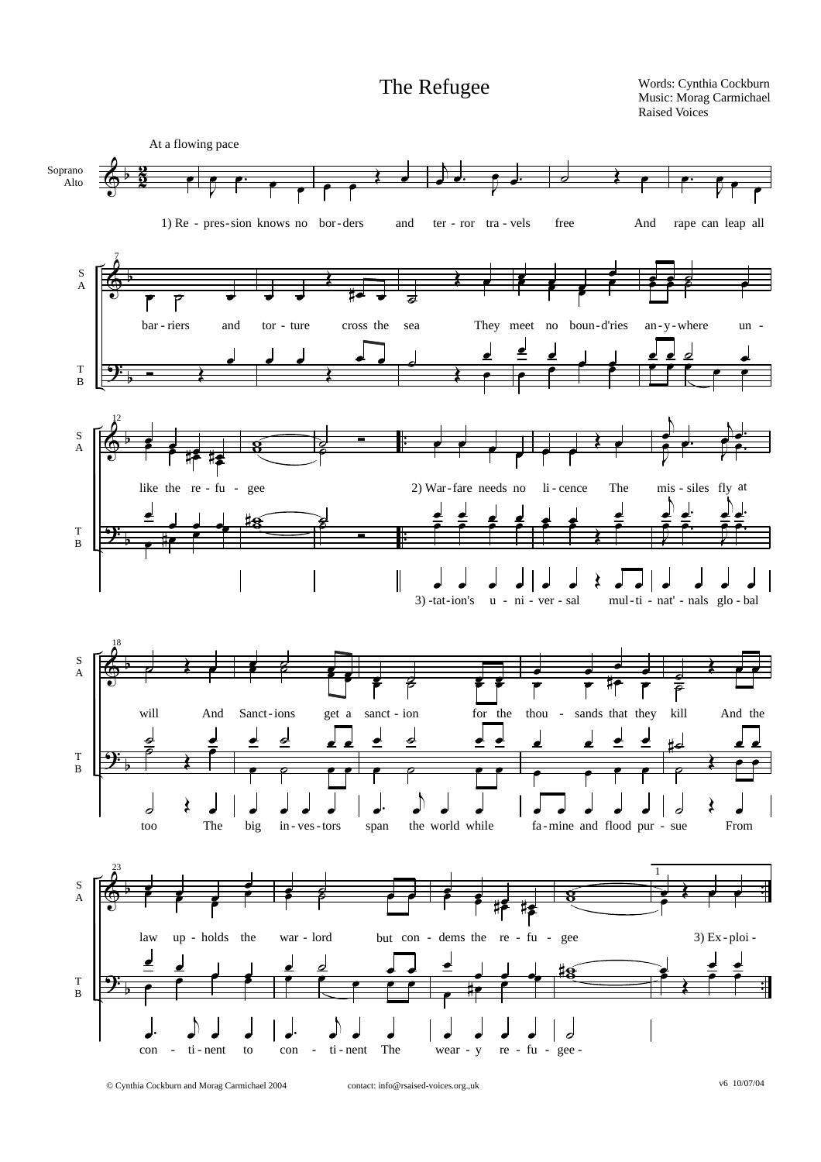The Refugee

Words: Cynthia Cockburn Music: Morag Carmichael<br>Raised Voices



© Cynthia Cockburn and Morag Carmichael 2004